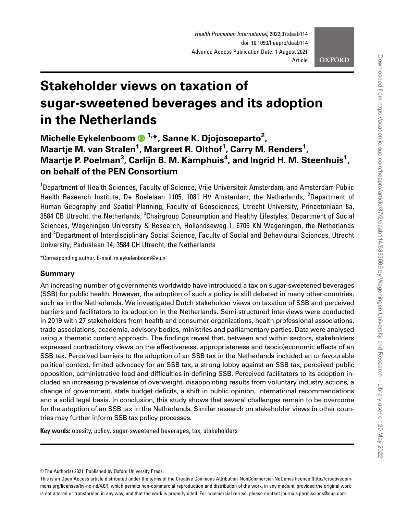Health Promotion International, 2022;37:daab114 doi: 10.1093/heapro/daab114 Advance Access Publication Date: 1 August 2021 Article

**OXFORD** 

# Stakeholder views on taxation of sugar-sweetened beverages and its adoption in the Netherlands

Michelle Eykelenboom (D <sup>1, \*</sup>, Sanne K. Djojosoeparto<sup>2</sup>, Maartje M. van Stralen<sup>1</sup>, Margreet R. Olthof<sup>1</sup>, Carry M. Renders<sup>1</sup>, Maartje P. Poelman<sup>3</sup>, Carlijn B. M. Kamphuis<sup>4</sup>, and Ingrid H. M. Steenhuis<sup>1</sup>, on behalf of the PEN Consortium

<sup>1</sup>Department of Health Sciences, Faculty of Science, Vrije Universiteit Amsterdam, and Amsterdam Public Health Research Institute, De Boelelaan 1105, 1081 HV Amsterdam, the Netherlands, <sup>2</sup>Department of Human Geography and Spatial Planning, Faculty of Geosciences, Utrecht University, Princetonlaan 8a, 3584 CB Utrecht, the Netherlands, <sup>3</sup>Chairgroup Consumption and Healthy Lifestyles, Department of Social Sciences, Wageningen University & Research, Hollandseweg 1, 6706 KN Wageningen, the Netherlands and <sup>4</sup>Department of Interdisciplinary Social Science, Faculty of Social and Behavioural Sciences, Utrecht University, Padualaan 14, 3584 CH Utrecht, the Netherlands

\*Corresponding author. E-mail: m.eykelenboom@vu.nl

## Summary

An increasing number of governments worldwide have introduced a tax on sugar-sweetened beverages (SSB) for public health. However, the adoption of such a policy is still debated in many other countries, such as in the Netherlands. We investigated Dutch stakeholder views on taxation of SSB and perceived barriers and facilitators to its adoption in the Netherlands. Semi-structured interviews were conducted in 2019 with 27 stakeholders from health and consumer organizations, health professional associations, trade associations, academia, advisory bodies, ministries and parliamentary parties. Data were analysed using a thematic content approach. The findings reveal that, between and within sectors, stakeholders expressed contradictory views on the effectiveness, appropriateness and (socio)economic effects of an SSB tax. Perceived barriers to the adoption of an SSB tax in the Netherlands included an unfavourable political context, limited advocacy for an SSB tax, a strong lobby against an SSB tax, perceived public opposition, administrative load and difficulties in defining SSB. Perceived facilitators to its adoption included an increasing prevalence of overweight, disappointing results from voluntary industry actions, a change of government, state budget deficits, a shift in public opinion, international recommendations and a solid legal basis. In conclusion, this study shows that several challenges remain to be overcome for the adoption of an SSB tax in the Netherlands. Similar research on stakeholder views in other countries may further inform SSB tax policy processes.

Key words: obesity, policy, sugar-sweetened beverages, tax, stakeholders

<sup>©</sup> The Author(s) 2021. Published by Oxford University Press.

This is an Open Access article distributed under the terms of the Creative Commons Attribution-NonCommercial-NoDerivs licence (http://creativecommons.org/licenses/by-nc-nd/4.0/), which permits non-commercial reproduction and distribution of the work, in any medium, provided the original work is not altered or transformed in any way, and that the work is properly cited. For commercial re-use, please contact journals.permissions@oup.com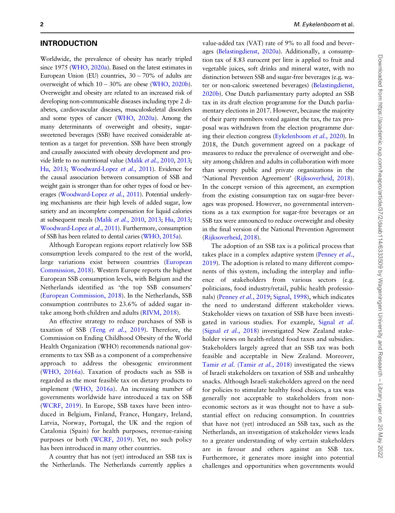## INTRODUCTION

Worldwide, the prevalence of obesity has nearly tripled since 1975 ([WHO, 2020a](#page-13-0)). Based on the latest estimates in European Union (EU) countries, 30- 70% of adults are overweight of which  $10-30\%$  are obese [\(WHO, 2020b\)](#page-13-0). Overweight and obesity are related to an increased risk of developing non-communicable diseases including type 2 diabetes, cardiovascular diseases, musculoskeletal disorders and some types of cancer [\(WHO, 2020a\)](#page-13-0). Among the many determinants of overweight and obesity, sugarsweetened beverages (SSB) have received considerable attention as a target for prevention. SSB have been strongly and causally associated with obesity development and provide little to no nutritional value (Malik et al.[, 2010,](#page-12-0) [2013](#page-12-0); [Hu, 2013](#page-12-0); [Woodward-Lopez](#page-13-0) et al., 2011). Evidence for the causal association between consumption of SSB and weight gain is stronger than for other types of food or bev-erages [\(Woodward-Lopez](#page-13-0) et al., 2011). Potential underlying mechanisms are their high levels of added sugar, low satiety and an incomplete compensation for liquid calories at subsequent meals (Malik et al.[, 2010,](#page-12-0) [2013;](#page-12-0) [Hu, 2013](#page-12-0); [Woodward-Lopez](#page-13-0) et al., 2011). Furthermore, consumption of SSB has been related to dental caries [\(WHO, 2015a\)](#page-13-0).

Although European regions report relatively low SSB consumption levels compared to the rest of the world, large variations exist between countries [\(European](#page-12-0) [Commission, 2018\)](#page-12-0). Western Europe reports the highest European SSB consumption levels, with Belgium and the Netherlands identified as 'the top SSB consumers' [\(European Commission, 2018\)](#page-12-0). In the Netherlands, SSB consumption contributes to 23.6% of added sugar intake among both children and adults [\(RIVM, 2018\)](#page-12-0).

An effective strategy to reduce purchases of SSB is taxation of SSB (Teng et al.[, 2019\)](#page-13-0). Therefore, the Commission on Ending Childhood Obesity of the World Health Organization (WHO) recommends national governments to tax SSB as a component of a comprehensive approach to address the obesogenic environment [\(WHO, 2016a\)](#page-13-0). Taxation of products such as SSB is regarded as the most feasible tax on dietary products to implement ([WHO, 2016a\)](#page-13-0). An increasing number of governments worldwide have introduced a tax on SSB [\(WCRF, 2019](#page-13-0)). In Europe, SSB taxes have been introduced in Belgium, Finland, France, Hungary, Ireland, Latvia, Norway, Portugal, the UK and the region of Catalonia (Spain) for health purposes, revenue-raising purposes or both [\(WCRF, 2019\)](#page-13-0). Yet, no such policy has been introduced in many other countries.

A country that has not (yet) introduced an SSB tax is the Netherlands. The Netherlands currently applies a value-added tax (VAT) rate of 9% to all food and beverages [\(Belastingdienst, 2020a](#page-12-0)). Additionally, a consumption tax of 8.83 eurocent per litre is applied to fruit and vegetable juices, soft drinks and mineral water, with no distinction between SSB and sugar-free beverages (e.g. wa-ter or non-caloric sweetened beverages) [\(Belastingdienst,](#page-12-0) [2020b](#page-12-0)). One Dutch parliamentary party adopted an SSB tax in its draft election programme for the Dutch parliamentary elections in 2017. However, because the majority of their party members voted against the tax, the tax proposal was withdrawn from the election programme dur-ing their election congress [\(Eykelenboom](#page-12-0) et al., 2020). In 2018, the Dutch government agreed on a package of measures to reduce the prevalence of overweight and obesity among children and adults in collaboration with more than seventy public and private organizations in the 'National Prevention Agreement' [\(Rijksoverheid, 2018\)](#page-12-0). In the concept version of this agreement, an exemption from the existing consumption tax on sugar-free beverages was proposed. However, no governmental interventions as a tax exemption for sugar-free beverages or an SSB tax were announced to reduce overweight and obesity in the final version of the National Prevention Agreement [\(Rijksoverheid, 2018\)](#page-12-0).

The adoption of an SSB tax is a political process that takes place in a complex adaptive system [\(Penney](#page-12-0) et al., [2019](#page-12-0)). The adoption is related to many different components of this system, including the interplay and influence of stakeholders from various sectors (e.g. politicians, food industry/retail, public health professio-nals) [\(Penney](#page-12-0) et al., 2019; [Signal, 1998\)](#page-13-0), which indicates the need to understand different stakeholder views. Stakeholder views on taxation of SSB have been investi-gated in various studies. For example, [Signal](#page-12-0) et al. (Signal et al.[, 2018\)](#page-12-0) investigated New Zealand stakeholder views on health-related food taxes and subsidies. Stakeholders largely agreed that an SSB tax was both feasible and acceptable in New Zealand. Moreover, Tamir et al. [\(Tamir](#page-13-0) et al., 2018) investigated the views of Israeli stakeholders on taxation of SSB and unhealthy snacks. Although Israeli stakeholders agreed on the need for policies to stimulate healthy food choices, a tax was generally not acceptable to stakeholders from noneconomic sectors as it was thought not to have a substantial effect on reducing consumption. In countries that have not (yet) introduced an SSB tax, such as the Netherlands, an investigation of stakeholder views leads to a greater understanding of why certain stakeholders are in favour and others against an SSB tax. Furthermore, it generates more insight into potential challenges and opportunities when governments would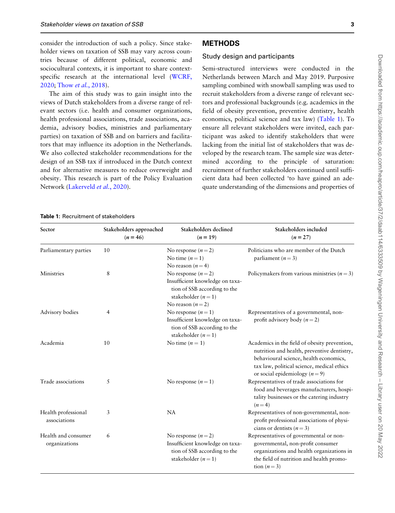<span id="page-2-0"></span>consider the introduction of such a policy. Since stakeholder views on taxation of SSB may vary across countries because of different political, economic and sociocultural contexts, it is important to share contextspecific research at the international level ([WCRF,](#page-13-0) [2020](#page-13-0); Thow et al.[, 2018\)](#page-13-0).

The aim of this study was to gain insight into the views of Dutch stakeholders from a diverse range of relevant sectors (i.e. health and consumer organizations, health professional associations, trade associations, academia, advisory bodies, ministries and parliamentary parties) on taxation of SSB and on barriers and facilitators that may influence its adoption in the Netherlands. We also collected stakeholder recommendations for the design of an SSB tax if introduced in the Dutch context and for alternative measures to reduce overweight and obesity. This research is part of the Policy Evaluation Network ([Lakerveld](#page-12-0) et al., 2020).

## **METHODS**

#### Study design and participants

Semi-structured interviews were conducted in the Netherlands between March and May 2019. Purposive sampling combined with snowball sampling was used to recruit stakeholders from a diverse range of relevant sectors and professional backgrounds (e.g. academics in the field of obesity prevention, preventive dentistry, health economics, political science and tax law) (Table 1). To ensure all relevant stakeholders were invited, each participant was asked to identify stakeholders that were lacking from the initial list of stakeholders that was developed by the research team. The sample size was determined according to the principle of saturation: recruitment of further stakeholders continued until sufficient data had been collected 'to have gained an adequate understanding of the dimensions and properties of

#### Table 1: Recruitment of stakeholders

| Sector                               | Stakeholders approached<br>$(n = 46)$ | Stakeholders declined<br>$(n = 19)$                                                                                                | Stakeholders included<br>$(n = 27)$                                                                                                                                                                                        |
|--------------------------------------|---------------------------------------|------------------------------------------------------------------------------------------------------------------------------------|----------------------------------------------------------------------------------------------------------------------------------------------------------------------------------------------------------------------------|
| Parliamentary parties                | 10                                    | No response $(n=2)$<br>No time $(n=1)$<br>No reason $(n=4)$                                                                        | Politicians who are member of the Dutch<br>parliament $(n=3)$                                                                                                                                                              |
| Ministries                           | 8                                     | No response $(n=2)$<br>Insufficient knowledge on taxa-<br>tion of SSB according to the<br>stakeholder $(n=1)$                      | Policymakers from various ministries $(n=3)$                                                                                                                                                                               |
| Advisory bodies                      | 4                                     | No reason $(n=2)$<br>No response $(n=1)$<br>Insufficient knowledge on taxa-<br>tion of SSB according to the<br>stakeholder $(n=1)$ | Representatives of a governmental, non-<br>profit advisory body $(n=2)$                                                                                                                                                    |
| Academia                             | 10                                    | No time $(n = 1)$                                                                                                                  | Academics in the field of obesity prevention,<br>nutrition and health, preventive dentistry,<br>behavioural science, health economics,<br>tax law, political science, medical ethics<br>or social epidemiology ( $n = 9$ ) |
| Trade associations                   | 5                                     | No response $(n=1)$                                                                                                                | Representatives of trade associations for<br>food and beverages manufacturers, hospi-<br>tality businesses or the catering industry<br>$(n=4)$                                                                             |
| Health professional<br>associations  | 3                                     | <b>NA</b>                                                                                                                          | Representatives of non-governmental, non-<br>profit professional associations of physi-<br>cians or dentists $(n=3)$                                                                                                       |
| Health and consumer<br>organizations | 6                                     | No response $(n=2)$<br>Insufficient knowledge on taxa-<br>tion of SSB according to the<br>stakeholder $(n=1)$                      | Representatives of governmental or non-<br>governmental, non-profit consumer<br>organizations and health organizations in<br>the field of nutrition and health promo-<br>tion $(n=3)$                                      |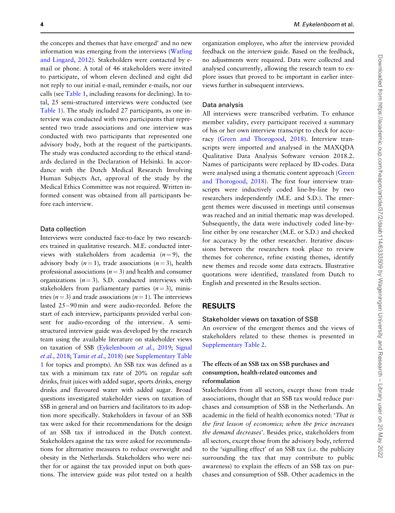the concepts and themes that have emerged' and no new information was emerging from the interviews [\(Watling](#page-13-0) [and Lingard, 2012](#page-13-0)). Stakeholders were contacted by email or phone. A total of 46 stakeholders were invited to participate, of whom eleven declined and eight did not reply to our initial e-mail, reminder e-mails, nor our calls (see [Table 1,](#page-2-0) including reasons for declining). In total, 25 semi-structured interviews were conducted (see [Table 1\)](#page-2-0). The study included 27 participants, as one interview was conducted with two participants that represented two trade associations and one interview was conducted with two participants that represented one advisory body, both at the request of the participants. The study was conducted according to the ethical standards declared in the Declaration of Helsinki. In accordance with the Dutch Medical Research Involving Human Subjects Act, approval of the study by the Medical Ethics Committee was not required. Written informed consent was obtained from all participants before each interview.

#### Data collection

Interviews were conducted face-to-face by two researchers trained in qualitative research. M.E. conducted interviews with stakeholders from academia  $(n = 9)$ , the advisory body  $(n = 1)$ , trade associations  $(n = 3)$ , health professional associations ( $n = 3$ ) and health and consumer organizations  $(n = 3)$ . S.D. conducted interviews with stakeholders from parliamentary parties  $(n = 3)$ , ministries ( $n = 3$ ) and trade associations ( $n = 1$ ). The interviews lasted 25-90 min and were audio-recorded. Before the start of each interview, participants provided verbal consent for audio-recording of the interview. A semistructured interview guide was developed by the research team using the available literature on stakeholder views on taxation of SSB ([Eykelenboom](#page-12-0) et al., 2019; [Signal](#page-12-0) et al.[, 2018;](#page-12-0) Tamir et al.[, 2018](#page-13-0)) (see [Supplementary Table](https://academic.oup.com/heapro/article-lookup/doi/10.1093/heapro/daab114#supplementary-data) [1](https://academic.oup.com/heapro/article-lookup/doi/10.1093/heapro/daab114#supplementary-data) for topics and prompts). An SSB tax was defined as a tax with a minimum tax rate of 20% on regular soft drinks, fruit juices with added sugar, sports drinks, energy drinks and flavoured water with added sugar. Broad questions investigated stakeholder views on taxation of SSB in general and on barriers and facilitators to its adoption more specifically. Stakeholders in favour of an SSB tax were asked for their recommendations for the design of an SSB tax if introduced in the Dutch context. Stakeholders against the tax were asked for recommendations for alternative measures to reduce overweight and obesity in the Netherlands. Stakeholders who were neither for or against the tax provided input on both questions. The interview guide was pilot tested on a health

organization employee, who after the interview provided feedback on the interview guide. Based on the feedback, no adjustments were required. Data were collected and analysed concurrently, allowing the research team to explore issues that proved to be important in earlier interviews further in subsequent interviews.

#### Data analysis

All interviews were transcribed verbatim. To enhance member validity, every participant received a summary of his or her own interview transcript to check for accuracy [\(Green and Thorogood, 2018](#page-12-0)). Interview transcripts were imported and analysed in the MAXQDA Qualitative Data Analysis Software version 2018.2. Names of participants were replaced by ID-codes. Data were analysed using a thematic content approach [\(Green](#page-12-0) [and Thorogood, 2018\)](#page-12-0). The first four interview transcripts were inductively coded line-by-line by two researchers independently (M.E. and S.D.). The emergent themes were discussed in meetings until consensus was reached and an initial thematic map was developed. Subsequently, the data were inductively coded line-byline either by one researcher (M.E. or S.D.) and checked for accuracy by the other researcher. Iterative discussions between the researchers took place to review themes for coherence, refine existing themes, identify new themes and recode some data extracts. Illustrative quotations were identified, translated from Dutch to English and presented in the Results section.

#### RESULTS

#### Stakeholder views on taxation of SSB

An overview of the emergent themes and the views of stakeholders related to these themes is presented in [Supplementary Table 2](https://academic.oup.com/heapro/article-lookup/doi/10.1093/heapro/daab114#supplementary-data).

#### The effects of an SSB tax on SSB purchases and consumption, health-related outcomes and reformulation

Stakeholders from all sectors, except those from trade associations, thought that an SSB tax would reduce purchases and consumption of SSB in the Netherlands. An academic in the field of health economics noted: 'That is the first lesson of economics; when the price increases the demand decreases'. Besides price, stakeholders from all sectors, except those from the advisory body, referred to the 'signalling effect' of an SSB tax (i.e. the publicity surrounding the tax that may contribute to public awareness) to explain the effects of an SSB tax on purchases and consumption of SSB. Other academics in the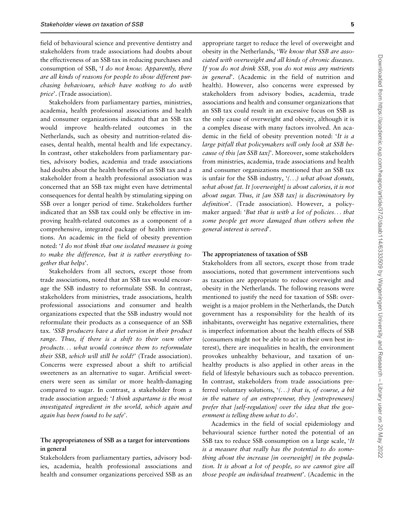field of behavioural science and preventive dentistry and stakeholders from trade associations had doubts about the effectiveness of an SSB tax in reducing purchases and consumption of SSB, 'I do not know. Apparently, there are all kinds of reasons for people to show different purchasing behaviours, which have nothing to do with price'. (Trade association).

Stakeholders from parliamentary parties, ministries, academia, health professional associations and health and consumer organizations indicated that an SSB tax would improve health-related outcomes in the Netherlands, such as obesity and nutrition-related diseases, dental health, mental health and life expectancy. In contrast, other stakeholders from parliamentary parties, advisory bodies, academia and trade associations had doubts about the health benefits of an SSB tax and a stakeholder from a health professional association was concerned that an SSB tax might even have detrimental consequences for dental health by stimulating sipping on SSB over a longer period of time. Stakeholders further indicated that an SSB tax could only be effective in improving health-related outcomes as a component of a comprehensive, integrated package of health interventions. An academic in the field of obesity prevention noted: 'I do not think that one isolated measure is going to make the difference, but it is rather everything together that helps'.

Stakeholders from all sectors, except those from trade associations, noted that an SSB tax would encourage the SSB industry to reformulate SSB. In contrast, stakeholders from ministries, trade associations, health professional associations and consumer and health organizations expected that the SSB industry would not reformulate their products as a consequence of an SSB tax. 'SSB producers have a diet version in their product range. Thus, if there is a shift to their own other products... what would convince them to reformulate their SSB, which will still be sold?' (Trade association). Concerns were expressed about a shift to artificial sweeteners as an alternative to sugar. Artificial sweeteners were seen as similar or more health-damaging compared to sugar. In contrast, a stakeholder from a trade association argued: 'I think aspartame is the most investigated ingredient in the world, which again and again has been found to be safe'.

#### The appropriateness of SSB as a target for interventions in general

Stakeholders from parliamentary parties, advisory bodies, academia, health professional associations and health and consumer organizations perceived SSB as an

appropriate target to reduce the level of overweight and obesity in the Netherlands, 'We know that SSB are associated with overweight and all kinds of chronic diseases. If you do not drink SSB, you do not miss any nutrients in general'. (Academic in the field of nutrition and health). However, also concerns were expressed by stakeholders from advisory bodies, academia, trade associations and health and consumer organizations that an SSB tax could result in an excessive focus on SSB as the only cause of overweight and obesity, although it is a complex disease with many factors involved. An academic in the field of obesity prevention noted: 'It is a large pitfall that policymakers will only look at SSB because of this [an SSB tax]'. Moreover, some stakeholders from ministries, academia, trade associations and health and consumer organizations mentioned that an SSB tax is unfair for the SSB industry,  $($ ...) what about donuts, what about fat. It [overweight] is about calories, it is not about sugar. Thus, it [an SSB tax] is discriminatory by definition'. (Trade association). However, a policymaker argued: 'But that is with a lot of policies... that some people get more damaged than others when the general interest is served'.

#### The appropriateness of taxation of SSB

Stakeholders from all sectors, except those from trade associations, noted that government interventions such as taxation are appropriate to reduce overweight and obesity in the Netherlands. The following reasons were mentioned to justify the need for taxation of SSB: overweight is a major problem in the Netherlands, the Dutch government has a responsibility for the health of its inhabitants, overweight has negative externalities, there is imperfect information about the health effects of SSB (consumers might not be able to act in their own best interest), there are inequalities in health, the environment provokes unhealthy behaviour, and taxation of unhealthy products is also applied in other areas in the field of lifestyle behaviours such as tobacco prevention. In contrast, stakeholders from trade associations preferred voluntary solutions,  $($ ...) that is, of course, a bit in the nature of an entrepreneur, they [entrepreneurs] prefer that [self-regulation] over the idea that the government is telling them what to do'.

Academics in the field of social epidemiology and behavioural science further noted the potential of an SSB tax to reduce SSB consumption on a large scale, 'It is a measure that really has the potential to do something about the increase [in overweight] in the population. It is about a lot of people, so we cannot give all those people an individual treatment'. (Academic in the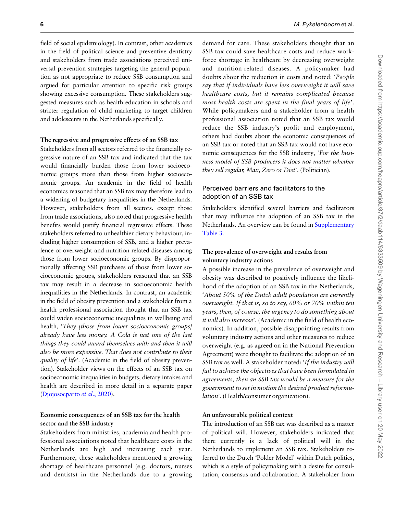field of social epidemiology). In contrast, other academics in the field of political science and preventive dentistry and stakeholders from trade associations perceived universal prevention strategies targeting the general population as not appropriate to reduce SSB consumption and argued for particular attention to specific risk groups showing excessive consumption. These stakeholders suggested measures such as health education in schools and stricter regulation of child marketing to target children and adolescents in the Netherlands specifically.

#### The regressive and progressive effects of an SSB tax

Stakeholders from all sectors referred to the financially regressive nature of an SSB tax and indicated that the tax would financially burden those from lower socioeconomic groups more than those from higher socioeconomic groups. An academic in the field of health economics reasoned that an SSB tax may therefore lead to a widening of budgetary inequalities in the Netherlands. However, stakeholders from all sectors, except those from trade associations, also noted that progressive health benefits would justify financial regressive effects. These stakeholders referred to unhealthier dietary behaviour, including higher consumption of SSB, and a higher prevalence of overweight and nutrition-related diseases among those from lower socioeconomic groups. By disproportionally affecting SSB purchases of those from lower socioeconomic groups, stakeholders reasoned that an SSB tax may result in a decrease in socioeconomic health inequalities in the Netherlands. In contrast, an academic in the field of obesity prevention and a stakeholder from a health professional association thought that an SSB tax could widen socioeconomic inequalities in wellbeing and health, 'They [those from lower socioeconomic groups] already have less money. A Cola is just one of the last things they could award themselves with and then it will also be more expensive. That does not contribute to their quality of life'. (Academic in the field of obesity prevention). Stakeholder views on the effects of an SSB tax on socioeconomic inequalities in budgets, dietary intakes and health are described in more detail in a separate paper [\(Djojosoeparto](#page-12-0) et al., 2020).

#### Economic consequences of an SSB tax for the health sector and the SSB industry

Stakeholders from ministries, academia and health professional associations noted that healthcare costs in the Netherlands are high and increasing each year. Furthermore, these stakeholders mentioned a growing shortage of healthcare personnel (e.g. doctors, nurses and dentists) in the Netherlands due to a growing

demand for care. These stakeholders thought that an SSB tax could save healthcare costs and reduce workforce shortage in healthcare by decreasing overweight and nutrition-related diseases. A policymaker had doubts about the reduction in costs and noted: 'People say that if individuals have less overweight it will save healthcare costs, but it remains complicated because most health costs are spent in the final years of life'. While policymakers and a stakeholder from a health professional association noted that an SSB tax would reduce the SSB industry's profit and employment, others had doubts about the economic consequences of an SSB tax or noted that an SSB tax would not have economic consequences for the SSB industry, 'For the business model of SSB producers it does not matter whether they sell regular, Max, Zero or Diet'. (Politician).

### Perceived barriers and facilitators to the adoption of an SSB tax

Stakeholders identified several barriers and facilitators that may influence the adoption of an SSB tax in the Netherlands. An overview can be found in [Supplementary](https://academic.oup.com/heapro/article-lookup/doi/10.1093/heapro/daab114#supplementary-data) [Table 3.](https://academic.oup.com/heapro/article-lookup/doi/10.1093/heapro/daab114#supplementary-data)

### The prevalence of overweight and results from voluntary industry actions

A possible increase in the prevalence of overweight and obesity was described to positively influence the likelihood of the adoption of an SSB tax in the Netherlands, 'About 50% of the Dutch adult population are currently overweight. If that is, so to say, 60% or 70% within ten years, then, of course, the urgency to do something about it will also increase'. (Academic in the field of health economics). In addition, possible disappointing results from voluntary industry actions and other measures to reduce overweight (e.g. as agreed on in the National Prevention Agreement) were thought to facilitate the adoption of an SSB tax as well. A stakeholder noted: 'If the industry will fail to achieve the objectives that have been formulated in agreements, then an SSB tax would be a measure for the government to set in motion the desired product reformulation'. (Health/consumer organization).

#### An unfavourable political context

The introduction of an SSB tax was described as a matter of political will. However, stakeholders indicated that there currently is a lack of political will in the Netherlands to implement an SSB tax. Stakeholders referred to the Dutch 'Polder Model' within Dutch politics, which is a style of policymaking with a desire for consultation, consensus and collaboration. A stakeholder from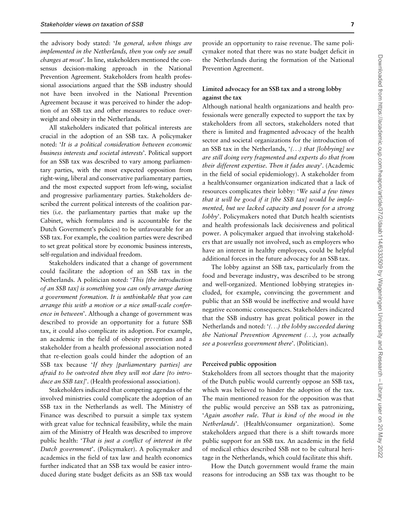the advisory body stated: 'In general, when things are implemented in the Netherlands, then you only see small changes at most'. In line, stakeholders mentioned the consensus decision-making approach in the National Prevention Agreement. Stakeholders from health professional associations argued that the SSB industry should not have been involved in the National Prevention Agreement because it was perceived to hinder the adoption of an SSB tax and other measures to reduce overweight and obesity in the Netherlands.

All stakeholders indicated that political interests are crucial in the adoption of an SSB tax. A policymaker noted: 'It is a political consideration between economic business interests and societal interests'. Political support for an SSB tax was described to vary among parliamentary parties, with the most expected opposition from right-wing, liberal and conservative parliamentary parties, and the most expected support from left-wing, socialist and progressive parliamentary parties. Stakeholders described the current political interests of the coalition parties (i.e. the parliamentary parties that make up the Cabinet, which formulates and is accountable for the Dutch Government's policies) to be unfavourable for an SSB tax. For example, the coalition parties were described to set great political store by economic business interests, self-regulation and individual freedom.

Stakeholders indicated that a change of government could facilitate the adoption of an SSB tax in the Netherlands. A politician noted: 'This [the introduction of an SSB tax] is something you can only arrange during a government formation. It is unthinkable that you can arrange this with a motion or a nice small-scale conference in between'. Although a change of government was described to provide an opportunity for a future SSB tax, it could also complicate its adoption. For example, an academic in the field of obesity prevention and a stakeholder from a health professional association noted that re-election goals could hinder the adoption of an SSB tax because 'If they [parliamentary parties] are afraid to be outvoted then they will not dare [to introduce an SSB tax]'. (Health professional association).

Stakeholders indicated that competing agendas of the involved ministries could complicate the adoption of an SSB tax in the Netherlands as well. The Ministry of Finance was described to pursuit a simple tax system with great value for technical feasibility, while the main aim of the Ministry of Health was described to improve public health: 'That is just a conflict of interest in the Dutch government'. (Policymaker). A policymaker and academics in the field of tax law and health economics further indicated that an SSB tax would be easier introduced during state budget deficits as an SSB tax would

provide an opportunity to raise revenue. The same policymaker noted that there was no state budget deficit in the Netherlands during the formation of the National Prevention Agreement.

### Limited advocacy for an SSB tax and a strong lobby against the tax

Although national health organizations and health professionals were generally expected to support the tax by stakeholders from all sectors, stakeholders noted that there is limited and fragmented advocacy of the health sector and societal organizations for the introduction of an SSB tax in the Netherlands,  $($ ...) that [lobbying] we are still doing very fragmented and experts do that from their different expertise. Then it fades away'. (Academic in the field of social epidemiology). A stakeholder from a health/consumer organization indicated that a lack of resources complicates their lobby: 'We said a few times that it will be good if it [the SSB tax] would be implemented, but we lacked capacity and power for a strong lobby'. Policymakers noted that Dutch health scientists and health professionals lack decisiveness and political power. A policymaker argued that involving stakeholders that are usually not involved, such as employers who have an interest in healthy employees, could be helpful additional forces in the future advocacy for an SSB tax.

The lobby against an SSB tax, particularly from the food and beverage industry, was described to be strong and well-organized. Mentioned lobbying strategies included, for example, convincing the government and public that an SSB would be ineffective and would have negative economic consequences. Stakeholders indicated that the SSB industry has great political power in the Netherlands and noted: '(...) the lobby succeeded during the National Prevention Agreement (...), you actually see a powerless government there'. (Politician).

#### Perceived public opposition

Stakeholders from all sectors thought that the majority of the Dutch public would currently oppose an SSB tax, which was believed to hinder the adoption of the tax. The main mentioned reason for the opposition was that the public would perceive an SSB tax as patronizing, 'Again another rule. That is kind of the mood in the Netherlands'. (Health/consumer organization). Some stakeholders argued that there is a shift towards more public support for an SSB tax. An academic in the field of medical ethics described SSB not to be cultural heritage in the Netherlands, which could facilitate this shift.

How the Dutch government would frame the main reasons for introducing an SSB tax was thought to be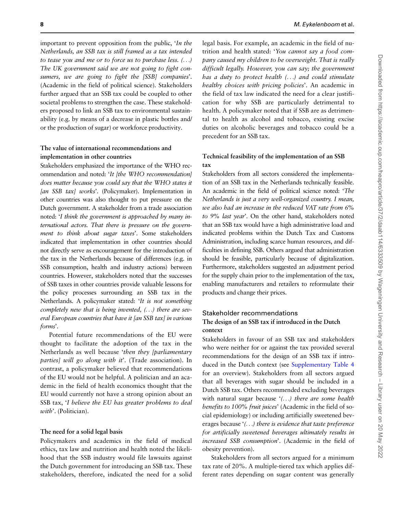important to prevent opposition from the public, 'In the Netherlands, an SSB tax is still framed as a tax intended to tease you and me or to force us to purchase less. (...) The UK government said we are not going to fight consumers, we are going to fight the [SSB] companies'. (Academic in the field of political science). Stakeholders further argued that an SSB tax could be coupled to other societal problems to strengthen the case. These stakeholders proposed to link an SSB tax to environmental sustainability (e.g. by means of a decrease in plastic bottles and/ or the production of sugar) or workforce productivity.

#### The value of international recommendations and implementation in other countries

Stakeholders emphasized the importance of the WHO recommendation and noted: 'It [the WHO recommendation] does matter because you could say that the WHO states it [an SSB tax] works'. (Policymaker). Implementation in other countries was also thought to put pressure on the Dutch government. A stakeholder from a trade association noted: 'I think the government is approached by many international actors. That there is pressure on the government to think about sugar taxes'. Some stakeholders indicated that implementation in other countries should not directly serve as encouragement for the introduction of the tax in the Netherlands because of differences (e.g. in SSB consumption, health and industry actions) between countries. However, stakeholders noted that the successes of SSB taxes in other countries provide valuable lessons for the policy processes surrounding an SSB tax in the Netherlands. A policymaker stated: 'It is not something completely new that is being invented, (...) there are several European countries that have it [an SSB tax] in various forms'.

Potential future recommendations of the EU were thought to facilitate the adoption of the tax in the Netherlands as well because 'then they [parliamentary parties] will go along with it'. (Trade association). In contrast, a policymaker believed that recommendations of the EU would not be helpful. A politician and an academic in the field of health economics thought that the EU would currently not have a strong opinion about an SSB tax, 'I believe the EU has greater problems to deal with'. (Politician).

#### The need for a solid legal basis

Policymakers and academics in the field of medical ethics, tax law and nutrition and health noted the likelihood that the SSB industry would file lawsuits against the Dutch government for introducing an SSB tax. These stakeholders, therefore, indicated the need for a solid

legal basis. For example, an academic in the field of nutrition and health stated: 'You cannot say a food company caused my children to be overweight. That is really difficult legally. However, you can say; the government has a duty to protect health (...) and could stimulate healthy choices with pricing policies'. An academic in the field of tax law indicated the need for a clear justification for why SSB are particularly detrimental to health. A policymaker noted that if SSB are as detrimental to health as alcohol and tobacco, existing excise duties on alcoholic beverages and tobacco could be a precedent for an SSB tax.

## Technical feasibility of the implementation of an SSB tax

Stakeholders from all sectors considered the implementation of an SSB tax in the Netherlands technically feasible. An academic in the field of political science noted: 'The Netherlands is just a very well-organized country. I mean, we also had an increase in the reduced VAT rate from 6% to 9% last year'. On the other hand, stakeholders noted that an SSB tax would have a high administrative load and indicated problems within the Dutch Tax and Customs Administration, including scarce human resources, and difficulties in defining SSB. Others argued that administration should be feasible, particularly because of digitalization. Furthermore, stakeholders suggested an adjustment period for the supply chain prior to the implementation of the tax, enabling manufacturers and retailers to reformulate their products and change their prices.

## Stakeholder recommendations The design of an SSB tax if introduced in the Dutch context

Stakeholders in favour of an SSB tax and stakeholders who were neither for or against the tax provided several recommendations for the design of an SSB tax if introduced in the Dutch context (see [Supplementary Table 4](https://academic.oup.com/heapro/article-lookup/doi/10.1093/heapro/daab114#supplementary-data) for an overview). Stakeholders from all sectors argued that all beverages with sugar should be included in a Dutch SSB tax. Others recommended excluding beverages with natural sugar because '(...) there are some health benefits to 100% fruit juices' (Academic in the field of social epidemiology) or including artificially sweetened beverages because '(...) there is evidence that taste preference for artificially sweetened beverages ultimately results in increased SSB consumption'. (Academic in the field of obesity prevention).

Stakeholders from all sectors argued for a minimum tax rate of 20%. A multiple-tiered tax which applies different rates depending on sugar content was generally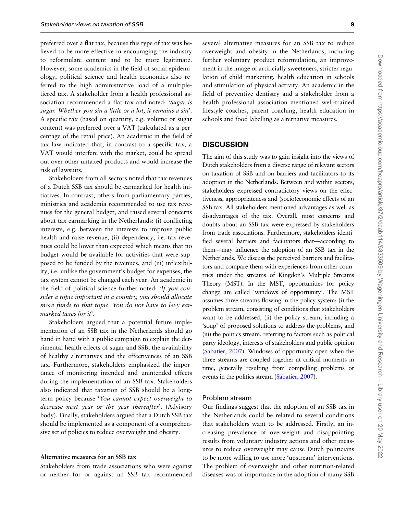preferred over a flat tax, because this type of tax was believed to be more effective in encouraging the industry to reformulate content and to be more legitimate. However, some academics in the field of social epidemiology, political science and health economics also referred to the high administrative load of a multipletiered tax. A stakeholder from a health professional association recommended a flat tax and noted: 'Sugar is sugar. Whether you sin a little or a lot, it remains a sin'. A specific tax (based on quantity, e.g. volume or sugar content) was preferred over a VAT (calculated as a percentage of the retail price). An academic in the field of tax law indicated that, in contrast to a specific tax, a VAT would interfere with the market, could be spread out over other untaxed products and would increase the risk of lawsuits.

Stakeholders from all sectors noted that tax revenues of a Dutch SSB tax should be earmarked for health initiatives. In contrast, others from parliamentary parties, ministries and academia recommended to use tax revenues for the general budget, and raised several concerns about tax earmarking in the Netherlands: (i) conflicting interests, e.g. between the interests to improve public health and raise revenue, (ii) dependency, i.e. tax revenues could be lower than expected which means that no budget would be available for activities that were supposed to be funded by the revenues, and (iii) inflexibility, i.e. unlike the government's budget for expenses, the tax system cannot be changed each year. An academic in the field of political science further noted: 'If you consider a topic important in a country, you should allocate more funds to that topic. You do not have to levy earmarked taxes for it'.

Stakeholders argued that a potential future implementation of an SSB tax in the Netherlands should go hand in hand with a public campaign to explain the detrimental health effects of sugar and SSB, the availability of healthy alternatives and the effectiveness of an SSB tax. Furthermore, stakeholders emphasized the importance of monitoring intended and unintended effects during the implementation of an SSB tax. Stakeholders also indicated that taxation of SSB should be a longterm policy because 'You cannot expect overweight to decrease next year or the year thereafter'. (Advisory body). Finally, stakeholders argued that a Dutch SSB tax should be implemented as a component of a comprehensive set of policies to reduce overweight and obesity.

#### Alternative measures for an SSB tax

Stakeholders from trade associations who were against or neither for or against an SSB tax recommended

several alternative measures for an SSB tax to reduce overweight and obesity in the Netherlands, including further voluntary product reformulation, an improvement in the image of artificially sweeteners, stricter regulation of child marketing, health education in schools and stimulation of physical activity. An academic in the field of preventive dentistry and a stakeholder from a health professional association mentioned well-trained lifestyle coaches, parent coaching, health education in schools and food labelling as alternative measures.

#### **DISCUSSION**

The aim of this study was to gain insight into the views of Dutch stakeholders from a diverse range of relevant sectors on taxation of SSB and on barriers and facilitators to its adoption in the Netherlands. Between and within sectors, stakeholders expressed contradictory views on the effectiveness, appropriateness and (socio)economic effects of an SSB tax. All stakeholders mentioned advantages as well as disadvantages of the tax. Overall, most concerns and doubts about an SSB tax were expressed by stakeholders from trade associations. Furthermore, stakeholders identified several barriers and facilitators that—according to them—may influence the adoption of an SSB tax in the Netherlands. We discuss the perceived barriers and facilitators and compare them with experiences from other countries under the streams of Kingdon's Multiple Streams Theory (MST). In the MST, opportunities for policy change are called 'windows of opportunity'. The MST assumes three streams flowing in the policy system: (i) the problem stream, consisting of conditions that stakeholders want to be addressed, (ii) the policy stream, including a 'soup' of proposed solutions to address the problems, and (iii) the politics stream, referring to factors such as political party ideology, interests of stakeholders and public opinion [\(Sabatier, 2007\)](#page-12-0). Windows of opportunity open when the three streams are coupled together at critical moments in time, generally resulting from compelling problems or events in the politics stream [\(Sabatier, 2007](#page-12-0)).

#### Problem stream

Our findings suggest that the adoption of an SSB tax in the Netherlands could be related to several conditions that stakeholders want to be addressed. Firstly, an increasing prevalence of overweight and disappointing results from voluntary industry actions and other measures to reduce overweight may cause Dutch politicians to be more willing to use more 'upstream' interventions. The problem of overweight and other nutrition-related diseases was of importance in the adoption of many SSB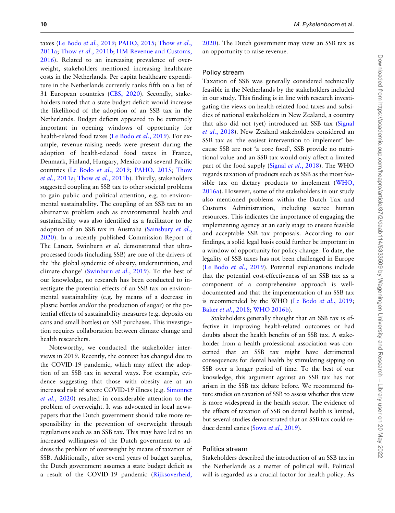taxes [\(Le Bodo](#page-12-0) et al., 2019; [PAHO, 2015;](#page-12-0) [Thow](#page-13-0) et al., [2011a;](#page-13-0) Thow et al.[, 2011b](#page-13-0); [HM Revenue and Customs,](#page-12-0) [2016](#page-12-0)). Related to an increasing prevalence of overweight, stakeholders mentioned increasing healthcare costs in the Netherlands. Per capita healthcare expenditure in the Netherlands currently ranks fifth on a list of 31 European countries ([CBS, 2020\)](#page-12-0). Secondly, stakeholders noted that a state budget deficit would increase the likelihood of the adoption of an SSB tax in the Netherlands. Budget deficits appeared to be extremely important in opening windows of opportunity for health-related food taxes [\(Le Bodo](#page-12-0) et al., 2019). For example, revenue-raising needs were present during the adoption of health-related food taxes in France, Denmark, Finland, Hungary, Mexico and several Pacific countries ([Le Bodo](#page-12-0) et al., 2019; [PAHO, 2015;](#page-12-0) [Thow](#page-13-0) et al.[, 2011a](#page-13-0); Thow et al.[, 2011b](#page-13-0)). Thirdly, stakeholders suggested coupling an SSB tax to other societal problems to gain public and political attention, e.g. to environmental sustainability. The coupling of an SSB tax to an alternative problem such as environmental health and sustainability was also identified as a facilitator to the adoption of an SSB tax in Australia [\(Sainsbury](#page-12-0) et al., [2020](#page-12-0)). In a recently published Commission Report of The Lancet, Swinburn et al. demonstrated that ultraprocessed foods (including SSB) are one of the drivers of the 'the global syndemic of obesity, undernutrition, and climate change' [\(Swinburn](#page-13-0) et al., 2019). To the best of our knowledge, no research has been conducted to investigate the potential effects of an SSB tax on environmental sustainability (e.g. by means of a decrease in plastic bottles and/or the production of sugar) or the potential effects of sustainability measures (e.g. deposits on cans and small bottles) on SSB purchases. This investigation requires collaboration between climate change and health researchers.

Noteworthy, we conducted the stakeholder interviews in 2019. Recently, the context has changed due to the COVID-19 pandemic, which may affect the adoption of an SSB tax in several ways. For example, evidence suggesting that those with obesity are at an increased risk of severe COVID-19 illness (e.g. [Simonnet](#page-13-0) et al.[, 2020\)](#page-13-0) resulted in considerable attention to the problem of overweight. It was advocated in local newspapers that the Dutch government should take more responsibility in the prevention of overweight through regulations such as an SSB tax. This may have led to an increased willingness of the Dutch government to address the problem of overweight by means of taxation of SSB. Additionally, after several years of budget surplus, the Dutch government assumes a state budget deficit as a result of the COVID-19 pandemic ([Rijksoverheid,](#page-12-0)

[2020](#page-12-0)). The Dutch government may view an SSB tax as an opportunity to raise revenue.

#### Policy stream

Taxation of SSB was generally considered technically feasible in the Netherlands by the stakeholders included in our study. This finding is in line with research investigating the views on health-related food taxes and subsidies of national stakeholders in New Zealand, a country that also did not (yet) introduced an SSB tax [\(Signal](#page-12-0) et al.[, 2018\)](#page-12-0). New Zealand stakeholders considered an SSB tax as 'the easiest intervention to implement' because SSB are not 'a core food', SSB provide no nutritional value and an SSB tax would only affect a limited part of the food supply (Signal et al.[, 2018](#page-12-0)). The WHO regards taxation of products such as SSB as the most feasible tax on dietary products to implement ([WHO,](#page-13-0) [2016a\)](#page-13-0). However, some of the stakeholders in our study also mentioned problems within the Dutch Tax and Customs Administration, including scarce human resources. This indicates the importance of engaging the implementing agency at an early stage to ensure feasible and acceptable SSB tax proposals. According to our findings, a solid legal basis could further be important in a window of opportunity for policy change. To date, the legality of SSB taxes has not been challenged in Europe [\(Le Bodo](#page-12-0) et al., 2019). Potential explanations include that the potential cost-effectiveness of an SSB tax as a component of a comprehensive approach is welldocumented and that the implementation of an SSB tax is recommended by the WHO [\(Le Bodo](#page-12-0) et al., 2019; Baker et al.[, 2018](#page-11-0); [WHO 2016b\)](#page-13-0).

Stakeholders generally thought that an SSB tax is effective in improving health-related outcomes or had doubts about the health benefits of an SSB tax. A stakeholder from a health professional association was concerned that an SSB tax might have detrimental consequences for dental health by stimulating sipping on SSB over a longer period of time. To the best of our knowledge, this argument against an SSB tax has not arisen in the SSB tax debate before. We recommend future studies on taxation of SSB to assess whether this view is more widespread in the health sector. The evidence of the effects of taxation of SSB on dental health is limited, but several studies demonstrated that an SSB tax could re-duce dental caries (Sowa et al.[, 2019](#page-13-0)).

#### Politics stream

Stakeholders described the introduction of an SSB tax in the Netherlands as a matter of political will. Political will is regarded as a crucial factor for health policy. As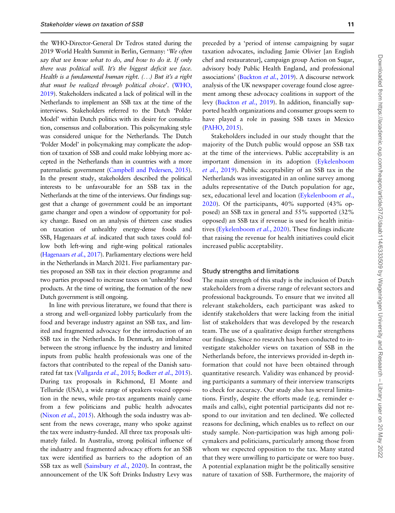the WHO-Director-General Dr Tedros stated during the 2019 World Health Summit in Berlin, Germany: 'We often say that we know what to do, and how to do it. If only there was political will. It's the biggest deficit we face. Health is a fundamental human right. (...) But it's a right that must be realized through political choice'. [\(WHO,](#page-13-0) [2019\)](#page-13-0). Stakeholders indicated a lack of political will in the Netherlands to implement an SSB tax at the time of the interviews. Stakeholders referred to the Dutch 'Polder Model' within Dutch politics with its desire for consultation, consensus and collaboration. This policymaking style was considered unique for the Netherlands. The Dutch 'Polder Model' in policymaking may complicate the adoption of taxation of SSB and could make lobbying more accepted in the Netherlands than in countries with a more paternalistic government [\(Campbell and Pedersen, 2015\)](#page-12-0). In the present study, stakeholders described the political interests to be unfavourable for an SSB tax in the Netherlands at the time of the interviews. Our findings suggest that a change of government could be an important game changer and open a window of opportunity for policy change. Based on an analysis of thirteen case studies on taxation of unhealthy energy-dense foods and SSB, Hagenaars et al. indicated that such taxes could follow both left-wing and right-wing political rationales [\(Hagenaars](#page-12-0) et al., 2017). Parliamentary elections were held in the Netherlands in March 2021. Five parliamentary parties proposed an SSB tax in their election programme and two parties proposed to increase taxes on 'unhealthy' food products. At the time of writing, the formation of the new Dutch government is still ongoing.

In line with previous literature, we found that there is a strong and well-organized lobby particularly from the food and beverage industry against an SSB tax, and limited and fragmented advocacy for the introduction of an SSB tax in the Netherlands. In Denmark, an imbalance between the strong influence by the industry and limited inputs from public health professionals was one of the factors that contributed to the repeal of the Danish saturated fat tax [\(Vallgarda](#page-13-0) et al., 2015; [Bodker](#page-12-0) et al., 2015). During tax proposals in Richmond, El Monte and Telluride (USA), a wide range of speakers voiced opposition in the news, while pro-tax arguments mainly came from a few politicians and public health advocates [\(Nixon](#page-12-0) *et al.*, 2015). Although the soda industry was absent from the news coverage, many who spoke against the tax were industry-funded. All three tax proposals ultimately failed. In Australia, strong political influence of the industry and fragmented advocacy efforts for an SSB tax were identified as barriers to the adoption of an SSB tax as well ([Sainsbury](#page-12-0) *et al.*, 2020). In contrast, the announcement of the UK Soft Drinks Industry Levy was

preceded by a 'period of intense campaigning by sugar taxation advocates, including Jamie Olivier [an English chef and restaurateur], campaign group Action on Sugar, advisory body Public Health England, and professional associations' [\(Buckton](#page-12-0) et al., 2019). A discourse network analysis of the UK newspaper coverage found close agreement among these advocacy coalitions in support of the levy [\(Buckton](#page-12-0) et al., 2019). In addition, financially supported health organizations and consumer groups seem to have played a role in passing SSB taxes in Mexico [\(PAHO, 2015\)](#page-12-0).

Stakeholders included in our study thought that the majority of the Dutch public would oppose an SSB tax at the time of the interviews. Public acceptability is an important dimension in its adoption ([Eykelenboom](#page-12-0) et al.[, 2019](#page-12-0)). Public acceptability of an SSB tax in the Netherlands was investigated in an online survey among adults representative of the Dutch population for age, sex, educational level and location [\(Eykelenboom](#page-12-0) et al., [2020](#page-12-0)). Of the participants, 40% supported (43% opposed) an SSB tax in general and 55% supported (32% opposed) an SSB tax if revenue is used for health initiatives [\(Eykelenboom](#page-12-0) et al., 2020). These findings indicate that raising the revenue for health initiatives could elicit increased public acceptability.

#### Study strengths and limitations

The main strength of this study is the inclusion of Dutch stakeholders from a diverse range of relevant sectors and professional backgrounds. To ensure that we invited all relevant stakeholders, each participant was asked to identify stakeholders that were lacking from the initial list of stakeholders that was developed by the research team. The use of a qualitative design further strengthens our findings. Since no research has been conducted to investigate stakeholder views on taxation of SSB in the Netherlands before, the interviews provided in-depth information that could not have been obtained through quantitative research. Validity was enhanced by providing participants a summary of their interview transcripts to check for accuracy. Our study also has several limitations. Firstly, despite the efforts made (e.g. reminder emails and calls), eight potential participants did not respond to our invitation and ten declined. We collected reasons for declining, which enables us to reflect on our study sample. Non-participation was high among policymakers and politicians, particularly among those from whom we expected opposition to the tax. Many stated that they were unwilling to participate or were too busy. A potential explanation might be the politically sensitive nature of taxation of SSB. Furthermore, the majority of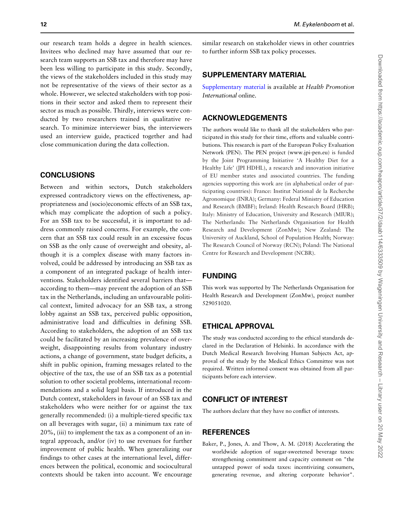<span id="page-11-0"></span>our research team holds a degree in health sciences. Invitees who declined may have assumed that our research team supports an SSB tax and therefore may have been less willing to participate in this study. Secondly, the views of the stakeholders included in this study may not be representative of the views of their sector as a whole. However, we selected stakeholders with top positions in their sector and asked them to represent their sector as much as possible. Thirdly, interviews were conducted by two researchers trained in qualitative research. To minimize interviewer bias, the interviewers used an interview guide, practiced together and had close communication during the data collection.

## **CONCLUSIONS**

Between and within sectors, Dutch stakeholders expressed contradictory views on the effectiveness, appropriateness and (socio)economic effects of an SSB tax, which may complicate the adoption of such a policy. For an SSB tax to be successful, it is important to address commonly raised concerns. For example, the concern that an SSB tax could result in an excessive focus on SSB as the only cause of overweight and obesity, although it is a complex disease with many factors involved, could be addressed by introducing an SSB tax as a component of an integrated package of health interventions. Stakeholders identified several barriers that according to them—may prevent the adoption of an SSB tax in the Netherlands, including an unfavourable political context, limited advocacy for an SSB tax, a strong lobby against an SSB tax, perceived public opposition, administrative load and difficulties in defining SSB. According to stakeholders, the adoption of an SSB tax could be facilitated by an increasing prevalence of overweight, disappointing results from voluntary industry actions, a change of government, state budget deficits, a shift in public opinion, framing messages related to the objective of the tax, the use of an SSB tax as a potential solution to other societal problems, international recommendations and a solid legal basis. If introduced in the Dutch context, stakeholders in favour of an SSB tax and stakeholders who were neither for or against the tax generally recommended: (i) a multiple-tiered specific tax on all beverages with sugar, (ii) a minimum tax rate of 20%, (iii) to implement the tax as a component of an integral approach, and/or (iv) to use revenues for further improvement of public health. When generalizing our findings to other cases at the international level, differences between the political, economic and sociocultural contexts should be taken into account. We encourage

similar research on stakeholder views in other countries to further inform SSB tax policy processes.

## SUPPLEMENTARY MATERIAL

[Supplementary material](https://academic.oup.com/heapro/article-lookup/doi/10.1093/heapro/daab114#supplementary-data) is available at Health Promotion International online.

## ACKNOWLEDGEMENTS

The authors would like to thank all the stakeholders who participated in this study for their time, efforts and valuable contributions. This research is part of the European Policy Evaluation Network (PEN). The PEN project ([www.jpi-pen.eu\)](http://www.jpi-pen.eu) is funded by the Joint Programming Initiative 'A Healthy Diet for a Healthy Life' (JPI HDHL), a research and innovation initiative of EU member states and associated countries. The funding agencies supporting this work are (in alphabetical order of participating countries): France: Institut National de la Recherche Agronomique (INRA); Germany: Federal Ministry of Education and Research (BMBF); Ireland: Health Research Board (HRB); Italy: Ministry of Education, University and Research (MIUR); The Netherlands: The Netherlands Organisation for Health Research and Development (ZonMw); New Zealand: The University of Auckland, School of Population Health; Norway: The Research Council of Norway (RCN); Poland: The National Centre for Research and Development (NCBR).

## FUNDING

This work was supported by The Netherlands Organisation for Health Research and Development (ZonMw), project number 529051020.

## ETHICAL APPROVAL

The study was conducted according to the ethical standards declared in the Declaration of Helsinki. In accordance with the Dutch Medical Research Involving Human Subjects Act, approval of the study by the Medical Ethics Committee was not required. Written informed consent was obtained from all participants before each interview.

## CONFLICT OF INTEREST

The authors declare that they have no conflict of interests.

#### **REFERENCES**

Baker, P., Jones, A. and Thow, A. M. (2018) Accelerating the worldwide adoption of sugar-sweetened beverage taxes: strengthening commitment and capacity comment on "the untapped power of soda taxes: incentivizing consumers, generating revenue, and altering corporate behavior".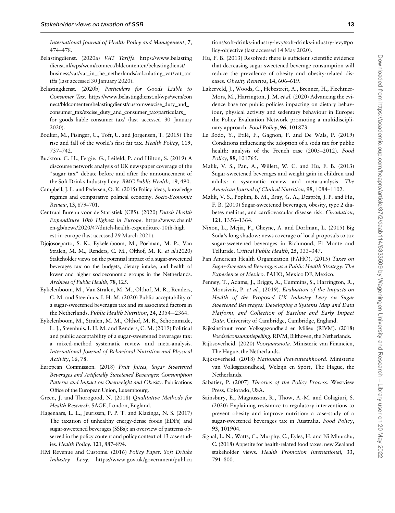<span id="page-12-0"></span>International Journal of Health Policy and Management, 7, 474–478.

Belastingdienst. (2020a) VAT Tariffs. [https://www.belasting](https://www.belastingdienst.nl/wps/wcm/connect/bldcontenten/belastingdienst/business/vat/vat_in_the_netherlands/calculating_vat/vat_tariffs) [dienst.nl/wps/wcm/connect/bldcontenten/belastingdienst/](https://www.belastingdienst.nl/wps/wcm/connect/bldcontenten/belastingdienst/business/vat/vat_in_the_netherlands/calculating_vat/vat_tariffs) [business/vat/vat\\_in\\_the\\_netherlands/calculating\\_vat/vat\\_tar](https://www.belastingdienst.nl/wps/wcm/connect/bldcontenten/belastingdienst/business/vat/vat_in_the_netherlands/calculating_vat/vat_tariffs) [iffs](https://www.belastingdienst.nl/wps/wcm/connect/bldcontenten/belastingdienst/business/vat/vat_in_the_netherlands/calculating_vat/vat_tariffs) (last accessed 30 January 2020).

Belastingdienst. (2020b) Particulars for Goods Liable to Consumer Tax. [https://www.belastingdienst.nl/wps/wcm/con](https://www.belastingdienst.nl/wps/wcm/connect/bldcontenten/belastingdienst/customs/excise_duty_and_consumer_tax/excise_duty_and_consumer_tax/particulars_for_goods_liable_consumer_tax/) [nect/bldcontenten/belastingdienst/customs/excise\\_duty\\_and\\_](https://www.belastingdienst.nl/wps/wcm/connect/bldcontenten/belastingdienst/customs/excise_duty_and_consumer_tax/excise_duty_and_consumer_tax/particulars_for_goods_liable_consumer_tax/) [consumer\\_tax/excise\\_duty\\_and\\_consumer\\_tax/particulars\\_](https://www.belastingdienst.nl/wps/wcm/connect/bldcontenten/belastingdienst/customs/excise_duty_and_consumer_tax/excise_duty_and_consumer_tax/particulars_for_goods_liable_consumer_tax/) [for\\_goods\\_liable\\_consumer\\_tax/](https://www.belastingdienst.nl/wps/wcm/connect/bldcontenten/belastingdienst/customs/excise_duty_and_consumer_tax/excise_duty_and_consumer_tax/particulars_for_goods_liable_consumer_tax/) (last accessed 30 January 2020).

- Bodker, M., Pisinger, C., Toft, U. and Jorgensen, T. (2015) The rise and fall of the world's first fat tax. Health Policy, 119, 737–742.
- Buckton, C. H., Fergie, G., Leifeld, P. and Hilton, S. (2019) A discourse network analysis of UK newspaper coverage of the "sugar tax" debate before and after the announcement of the Soft Drinks Industry Levy. BMC Public Health, 19, 490.
- Campbell, J. L. and Pedersen, O. K. (2015) Policy ideas, knowledge regimes and comparative political economy. Socio-Economic Review, 13, 679–701.
- Centraal Bureau voor de Statistiek (CBS). (2020) Dutch Health Expenditure 10th Highest in Europe. [https://www.cbs.nl/](https://www.cbs.nl/en-gb/news/2020/47/dutch-health-expenditure-10th-highest-in-europe) [en-gb/news/2020/47/dutch-health-expenditure-10th-high](https://www.cbs.nl/en-gb/news/2020/47/dutch-health-expenditure-10th-highest-in-europe) [est-in-europe](https://www.cbs.nl/en-gb/news/2020/47/dutch-health-expenditure-10th-highest-in-europe) (last accessed 29 March 2021).
- Djojosoeparto, S. K., Eykelenboom, M., Poelman, M. P., Van Stralen, M. M., Renders, C. M., Olthof, M. R. et al.(2020) Stakeholder views on the potential impact of a sugar-sweetened beverages tax on the budgets, dietary intake, and health of lower and higher socioeconomic groups in the Netherlands. Archives of Public Health, 78, 125.
- Eykelenboom, M., Van Stralen, M. M., Olthof, M. R., Renders, C. M. and Steenhuis, I. H. M. (2020) Public acceptability of a sugar-sweetened beverages tax and its associated factors in the Netherlands. Public Health Nutrition, 24, 2354-2364.
- Eykelenboom, M., Stralen, M. M., Olthof, M. R., Schoonmade, L. J., Steenhuis, I. H. M. and Renders, C. M. (2019) Political and public acceptability of a sugar-sweetened beverages tax: a mixed-method systematic review and meta-analysis. International Journal of Behavioral Nutrition and Physical Activity, 16, 78.
- European Commission. (2018) Fruit Juices, Sugar Sweetened Beverages and Artificially Sweetened Beverages: Consumption Patterns and Impact on Overweight and Obesity. Publications Office of the European Union, Luxembourg.
- Green, J. and Thorogood, N. (2018) Qualitative Methods for Health Research. SAGE, London, England.
- Hagenaars, L. L., Jeurissen, P. P. T. and Klazinga, N. S. (2017) The taxation of unhealthy energy-dense foods (EDFs) and sugar-sweetened beverages (SSBs): an overview of patterns observed in the policy content and policy context of 13 case studies. Health Policy, 121, 887–894.
- HM Revenue and Customs. (2016) Policy Paper: Soft Drinks Industry Levy. [https://www.gov.uk/government/publica](https://www.gov.uk/government/publications/soft-drinks-industry-levy/soft-drinks-industry-levy#policy-objective)

[tions/soft-drinks-industry-levy/soft-drinks-industry-levy#po](https://www.gov.uk/government/publications/soft-drinks-industry-levy/soft-drinks-industry-levy#policy-objective) [licy-objective](https://www.gov.uk/government/publications/soft-drinks-industry-levy/soft-drinks-industry-levy#policy-objective) (last accessed 14 May 2020).

- Hu, F. B. (2013) Resolved: there is sufficient scientific evidence that decreasing sugar-sweetened beverage consumption will reduce the prevalence of obesity and obesity-related diseases. Obesity Reviews, 14, 606–619.
- Lakerveld, J., Woods, C., Hebestreit, A., Brenner, H., Flechtner-Mors, M., Harrington, J. M. et al. (2020) Advancing the evidence base for public policies impacting on dietary behaviour, physical activity and sedentary behaviour in Europe: the Policy Evaluation Network promoting a multidisciplinary approach. Food Policy, 96, 101873.
- Le Bodo, Y., Etilé, F., Gagnon, F. and De Wals, P. (2019) Conditions influencing the adoption of a soda tax for public health: analysis of the French case (2005–2012). Food Policy, 88, 101765.
- Malik, V. S., Pan, A., Willett, W. C. and Hu, F. B. (2013) Sugar-sweetened beverages and weight gain in children and adults: a systematic review and meta-analysis. The American Journal of Clinical Nutrition, 98, 1084–1102.
- Malik, V. S., Popkin, B. M., Bray, G. A., Després, J. P. and Hu, F. B. (2010) Sugar-sweetened beverages, obesity, type 2 diabetes mellitus, and cardiovascular disease risk. Circulation, 121, 1356–1364.
- Nixon, L., Mejia, P., Cheyne, A. and Dorfman, L. (2015) Big Soda's long shadow: news coverage of local proposals to tax sugar-sweetened beverages in Richmond, El Monte and Telluride. Critical Public Health, 25, 333–347.
- Pan American Health Organization (PAHO). (2015) Taxes on Sugar-Sweetened Beverages as a Public Health Strategy: The Experience of Mexico. PAHO, Mexico DF, Mexico.
- Penney, T., Adams, J., Briggs, A., Cummins, S., Harrington, R., Monsivais, P. et al., (2019). Evaluation of the Impacts on Health of the Proposed UK Industry Levy on Sugar Sweetened Beverages: Developing a Systems Map and Data Platform, and Collection of Baseline and Early Impact Data. University of Cambridge, Cambridge, England.
- Rijksinstituut voor Volksgezondheid en Milieu (RIVM). (2018) Voedselconsumptiepeiling. RIVM, Bilthoven, the Netherlands.
- Rijksoverheid. (2020) Voorjaarsnota. Ministerie van Financiën, The Hague, the Netherlands.
- Rijksoverheid. (2018) Nationaal Preventieakkoord. Ministerie van Volksgezondheid, Welzijn en Sport, The Hague, the Netherlands.
- Sabatier, P. (2007) Theories of the Policy Process. Westview Press, Colorado, USA.
- Sainsbury, E., Magnusson, R., Thow, A.-M. and Colagiuri, S. (2020) Explaining resistance to regulatory interventions to prevent obesity and improve nutrition: a case-study of a sugar-sweetened beverages tax in Australia. Food Policy, 93, 101904.
- Signal, L. N., Watts, C., Murphy, C., Eyles, H. and Ni Mhurchu, C. (2018) Appetite for health-related food taxes: new Zealand stakeholder views. Health Promotion International, 33, 791–800.